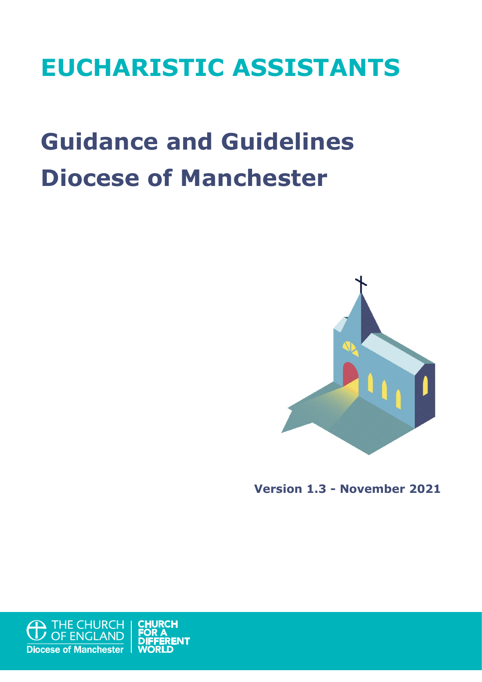## **EUCHARISTIC ASSISTANTS**

# **Guidance and Guidelines Diocese of Manchester**



**Version 1.3 - November 2021**

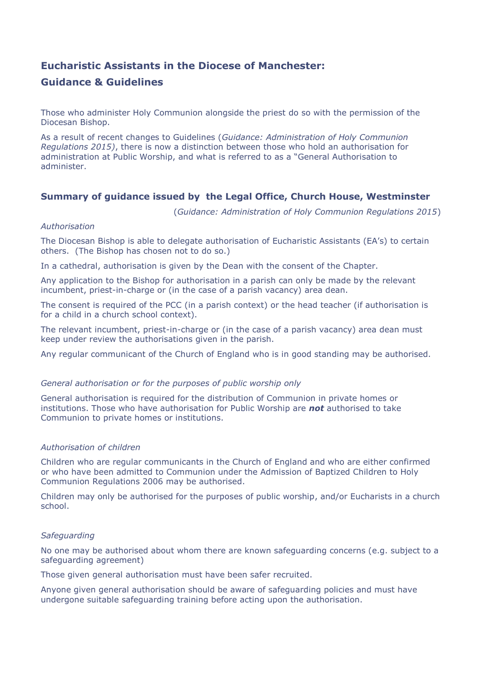## **Eucharistic Assistants in the Diocese of Manchester: Guidance & Guidelines**

Those who administer Holy Communion alongside the priest do so with the permission of the Diocesan Bishop.

As a result of recent changes to Guidelines (*Guidance: Administration of Holy Communion Regulations 2015)*, there is now a distinction between those who hold an authorisation for administration at Public Worship, and what is referred to as a "General Authorisation to administer.

#### **Summary of guidance issued by the Legal Office, Church House, Westminster**

(*Guidance: Administration of Holy Communion Regulations 2015*)

#### *Authorisation*

The Diocesan Bishop is able to delegate authorisation of Eucharistic Assistants (EA's) to certain others. (The Bishop has chosen not to do so.)

In a cathedral, authorisation is given by the Dean with the consent of the Chapter.

Any application to the Bishop for authorisation in a parish can only be made by the relevant incumbent, priest-in-charge or (in the case of a parish vacancy) area dean.

The consent is required of the PCC (in a parish context) or the head teacher (if authorisation is for a child in a church school context).

The relevant incumbent, priest-in-charge or (in the case of a parish vacancy) area dean must keep under review the authorisations given in the parish.

Any regular communicant of the Church of England who is in good standing may be authorised.

#### *General authorisation or for the purposes of public worship only*

General authorisation is required for the distribution of Communion in private homes or institutions. Those who have authorisation for Public Worship are *not* authorised to take Communion to private homes or institutions.

#### *Authorisation of children*

Children who are regular communicants in the Church of England and who are either confirmed or who have been admitted to Communion under the Admission of Baptized Children to Holy Communion Regulations 2006 may be authorised.

Children may only be authorised for the purposes of public worship, and/or Eucharists in a church school.

#### *Safeguarding*

No one may be authorised about whom there are known safeguarding concerns (e.g. subject to a safeguarding agreement)

Those given general authorisation must have been safer recruited.

Anyone given general authorisation should be aware of safeguarding policies and must have undergone suitable safeguarding training before acting upon the authorisation.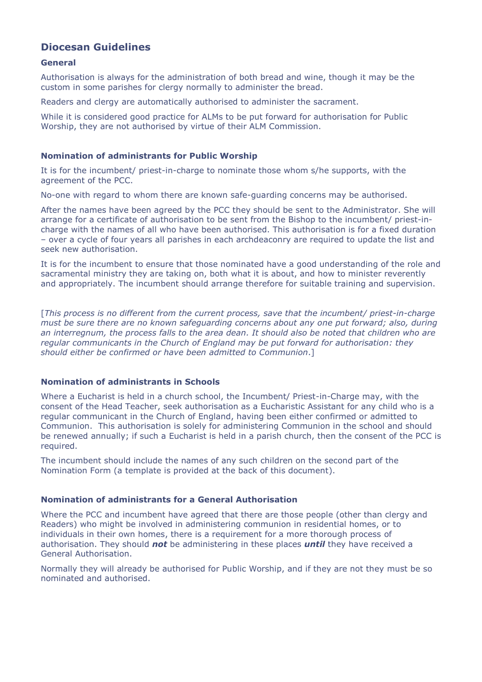### **Diocesan Guidelines**

#### **General**

Authorisation is always for the administration of both bread and wine, though it may be the custom in some parishes for clergy normally to administer the bread.

Readers and clergy are automatically authorised to administer the sacrament.

While it is considered good practice for ALMs to be put forward for authorisation for Public Worship, they are not authorised by virtue of their ALM Commission.

#### **Nomination of administrants for Public Worship**

It is for the incumbent/ priest-in-charge to nominate those whom s/he supports, with the agreement of the PCC.

No-one with regard to whom there are known safe-guarding concerns may be authorised.

After the names have been agreed by the PCC they should be sent to the Administrator. She will arrange for a certificate of authorisation to be sent from the Bishop to the incumbent/ priest-incharge with the names of all who have been authorised. This authorisation is for a fixed duration – over a cycle of four years all parishes in each archdeaconry are required to update the list and seek new authorisation.

It is for the incumbent to ensure that those nominated have a good understanding of the role and sacramental ministry they are taking on, both what it is about, and how to minister reverently and appropriately. The incumbent should arrange therefore for suitable training and supervision.

[*This process is no different from the current process, save that the incumbent/ priest-in-charge must be sure there are no known safeguarding concerns about any one put forward; also, during an interregnum, the process falls to the area dean. It should also be noted that children who are regular communicants in the Church of England may be put forward for authorisation: they should either be confirmed or have been admitted to Communion*.]

#### **Nomination of administrants in Schools**

Where a Eucharist is held in a church school, the Incumbent/ Priest-in-Charge may, with the consent of the Head Teacher, seek authorisation as a Eucharistic Assistant for any child who is a regular communicant in the Church of England, having been either confirmed or admitted to Communion. This authorisation is solely for administering Communion in the school and should be renewed annually; if such a Eucharist is held in a parish church, then the consent of the PCC is required.

The incumbent should include the names of any such children on the second part of the Nomination Form (a template is provided at the back of this document).

#### **Nomination of administrants for a General Authorisation**

Where the PCC and incumbent have agreed that there are those people (other than clergy and Readers) who might be involved in administering communion in residential homes, or to individuals in their own homes, there is a requirement for a more thorough process of authorisation. They should *not* be administering in these places *until* they have received a General Authorisation.

Normally they will already be authorised for Public Worship, and if they are not they must be so nominated and authorised.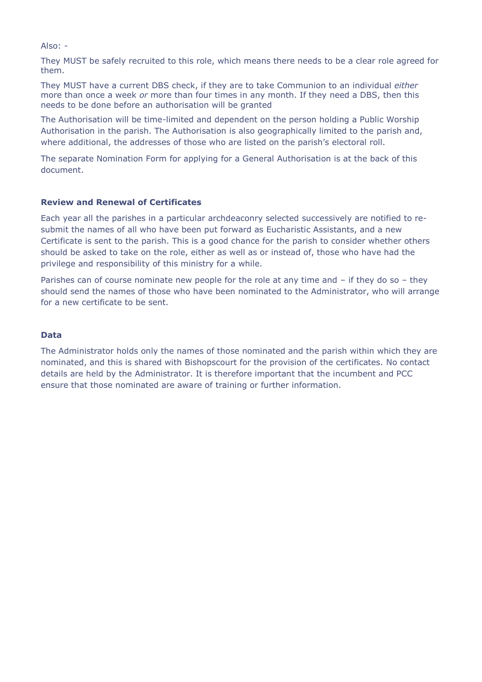Also: -

They MUST be safely recruited to this role, which means there needs to be a clear role agreed for them.

They MUST have a current DBS check, if they are to take Communion to an individual *either* more than once a week *or* more than four times in any month. If they need a DBS, then this needs to be done before an authorisation will be granted

The Authorisation will be time-limited and dependent on the person holding a Public Worship Authorisation in the parish. The Authorisation is also geographically limited to the parish and, where additional, the addresses of those who are listed on the parish's electoral roll.

The separate Nomination Form for applying for a General Authorisation is at the back of this document.

#### **Review and Renewal of Certificates**

Each year all the parishes in a particular archdeaconry selected successively are notified to resubmit the names of all who have been put forward as Eucharistic Assistants, and a new Certificate is sent to the parish. This is a good chance for the parish to consider whether others should be asked to take on the role, either as well as or instead of, those who have had the privilege and responsibility of this ministry for a while.

Parishes can of course nominate new people for the role at any time and – if they do so – they should send the names of those who have been nominated to the Administrator, who will arrange for a new certificate to be sent.

#### **Data**

The Administrator holds only the names of those nominated and the parish within which they are nominated, and this is shared with Bishopscourt for the provision of the certificates. No contact details are held by the Administrator. It is therefore important that the incumbent and PCC ensure that those nominated are aware of training or further information.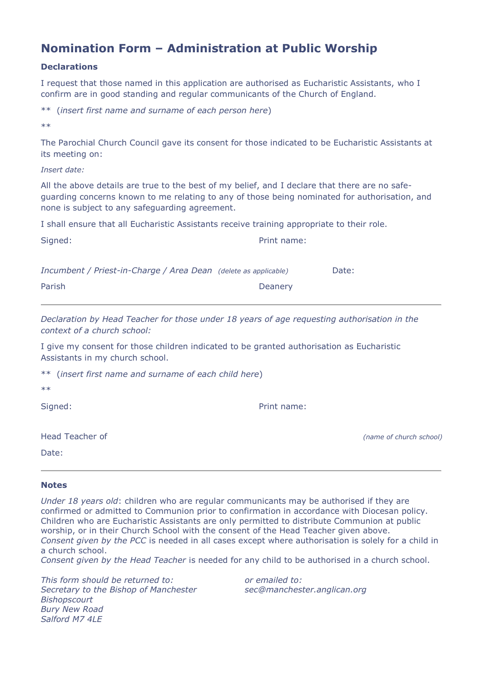## **Nomination Form – Administration at Public Worship**

#### **Declarations**

I request that those named in this application are authorised as Eucharistic Assistants, who I confirm are in good standing and regular communicants of the Church of England.

\*\* (*insert first name and surname of each person here*)

 $**$ 

The Parochial Church Council gave its consent for those indicated to be Eucharistic Assistants at its meeting on:

*Insert date:*

All the above details are true to the best of my belief, and I declare that there are no safeguarding concerns known to me relating to any of those being nominated for authorisation, and none is subject to any safeguarding agreement.

I shall ensure that all Eucharistic Assistants receive training appropriate to their role.

| Signed:                                                         | Print name: |       |
|-----------------------------------------------------------------|-------------|-------|
| Incumbent / Priest-in-Charge / Area Dean (delete as applicable) |             | Date: |

Parish Deanery

*Declaration by Head Teacher for those under 18 years of age requesting authorisation in the context of a church school:*

I give my consent for those children indicated to be granted authorisation as Eucharistic Assistants in my church school.

| ** (insert first name and surname of each child here) |  |
|-------------------------------------------------------|--|
|-------------------------------------------------------|--|

| k.<br>ł<br>×<br>٧ | k.<br>۰.<br>×<br>٧ |
|-------------------|--------------------|
|                   |                    |

Signed: Print name:

Date:

Head Teacher of *(name of church school)*

#### **Notes**

*Under 18 years old*: children who are regular communicants may be authorised if they are confirmed or admitted to Communion prior to confirmation in accordance with Diocesan policy. Children who are Eucharistic Assistants are only permitted to distribute Communion at public worship, or in their Church School with the consent of the Head Teacher given above. *Consent given by the PCC* is needed in all cases except where authorisation is solely for a child in a church school.

*Consent given by the Head Teacher* is needed for any child to be authorised in a church school.

*This form should be returned to: or emailed to: Secretary to the Bishop of Manchester sec@manchester.anglican.org Bishopscourt Bury New Road Salford M7 4LE*